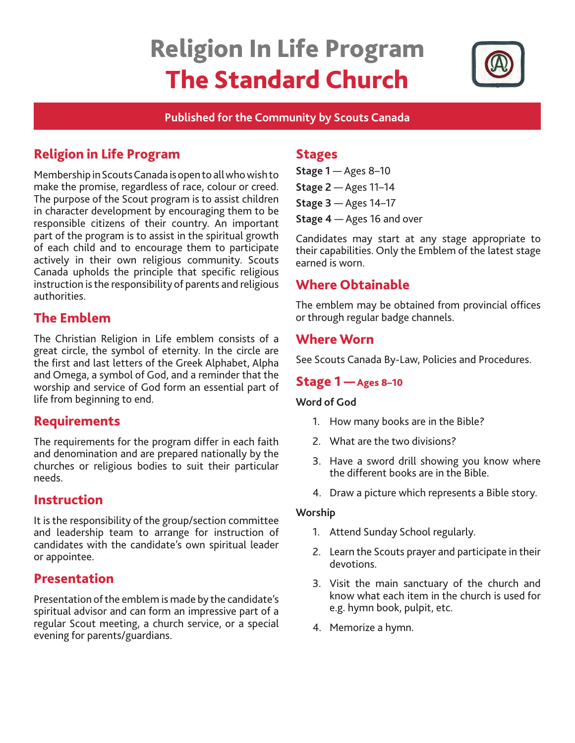# Religion In Life Program The Standard Church



#### **Published for the Community by Scouts Canada**

# Religion in Life Program

Membership in Scouts Canada is open to all who wish to make the promise, regardless of race, colour or creed. The purpose of the Scout program is to assist children in character development by encouraging them to be responsible citizens of their country. An important part of the program is to assist in the spiritual growth of each child and to encourage them to participate actively in their own religious community. Scouts Canada upholds the principle that specific religious instruction is the responsibility of parents and religious authorities.

# The Emblem

The Christian Religion in Life emblem consists of a great circle, the symbol of eternity. In the circle are the first and last letters of the Greek Alphabet, Alpha and Omega, a symbol of God, and a reminder that the worship and service of God form an essential part of life from beginning to end.

## Requirements

The requirements for the program differ in each faith and denomination and are prepared nationally by the churches or religious bodies to suit their particular needs.

## Instruction

It is the responsibility of the group/section committee and leadership team to arrange for instruction of candidates with the candidate's own spiritual leader or appointee.

## Presentation

Presentation of the emblem is made by the candidate's spiritual advisor and can form an impressive part of a regular Scout meeting, a church service, or a special evening for parents/guardians.

#### **Stages**

**Stage 1** — Ages 8–10 **Stage 2** — Ages 11–14 **Stage 3** — Ages 14–17 **Stage 4** — Ages 16 and over

Candidates may start at any stage appropriate to their capabilities. Only the Emblem of the latest stage earned is worn.

## Where Obtainable

The emblem may be obtained from provincial offices or through regular badge channels.

## Where Worn

See Scouts Canada By-Law, Policies and Procedures.

## Stage 1 — Ages 8–10

#### **Word of God**

- 1. How many books are in the Bible?
- 2. What are the two divisions?
- 3. Have a sword drill showing you know where the different books are in the Bible.
- 4. Draw a picture which represents a Bible story.

#### **Worship**

- 1. Attend Sunday School regularly.
- 2. Learn the Scouts prayer and participate in their devotions.
- 3. Visit the main sanctuary of the church and know what each item in the church is used for e.g. hymn book, pulpit, etc.
- 4. Memorize a hymn.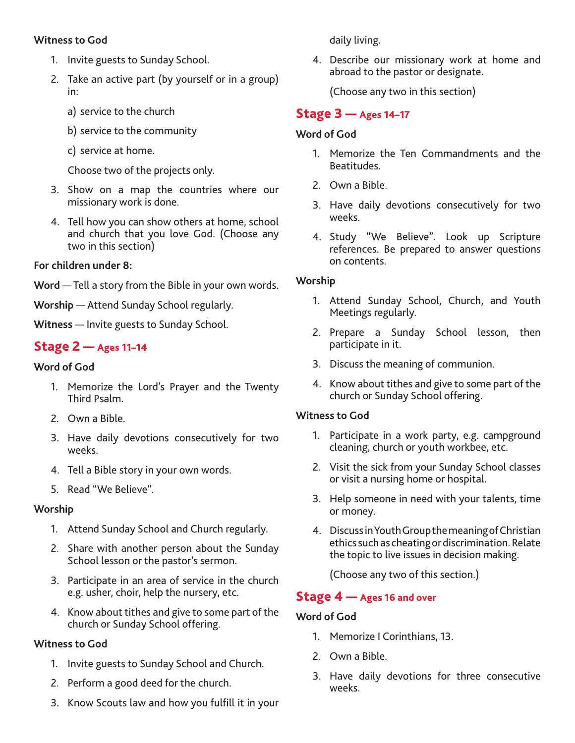#### **Witness to God**

- 1. Invite guests to Sunday School.
- 2. Take an active part (by yourself or in a group) in:
	- a) service to the church
	- b) service to the community
	- c) service at home.

Choose two of the projects only.

- 3. Show on a map the countries where our missionary work is done.
- 4. Tell how you can show others at home, school and church that you love God. (Choose any two in this section)

#### **For children under 8:**

**Word** — Tell a story from the Bible in your own words.

**Worship** — Attend Sunday School regularly.

**Witness** — Invite guests to Sunday School.

## Stage 2 — Ages 11–14

#### **Word of God**

- 1. Memorize the Lord's Prayer and the Twenty Third Psalm.
- 2. Own a Bible.
- 3. Have daily devotions consecutively for two weeks.
- 4. Tell a Bible story in your own words.
- 5. Read "We Believe".

#### **Worship**

- 1. Attend Sunday School and Church regularly.
- 2. Share with another person about the Sunday School lesson or the pastor's sermon.
- 3. Participate in an area of service in the church e.g. usher, choir, help the nursery, etc.
- 4. Know about tithes and give to some part of the church or Sunday School offering.

## **Witness to God**

- 1. Invite guests to Sunday School and Church.
- 2. Perform a good deed for the church.
- 3. Know Scouts law and how you fulfill it in your

daily living.

4. Describe our missionary work at home and abroad to the pastor or designate.

(Choose any two in this section)

## Stage 3 — Ages 14–17

#### **Word of God**

- 1. Memorize the Ten Commandments and the Beatitudes.
- 2. Own a Bible.
- 3. Have daily devotions consecutively for two weeks.
- 4. Study "We Believe". Look up Scripture references. Be prepared to answer questions on contents.

#### **Worship**

- 1. Attend Sunday School, Church, and Youth Meetings regularly.
- 2. Prepare a Sunday School lesson, then participate in it.
- 3. Discuss the meaning of communion.
- 4. Know about tithes and give to some part of the church or Sunday School offering.

## **Witness to God**

- 1. Participate in a work party, e.g. campground cleaning, church or youth workbee, etc.
- 2. Visit the sick from your Sunday School classes or visit a nursing home or hospital.
- 3. Help someone in need with your talents, time or money.
- 4. Discuss in Youth Group the meaning of Christian ethics such as cheating or discrimination. Relate the topic to live issues in decision making.

(Choose any two of this section.)

## Stage 4 – Ages 16 and over

#### **Word of God**

- 1. Memorize I Corinthians, 13.
- 2. Own a Bible.
- 3. Have daily devotions for three consecutive weeks.